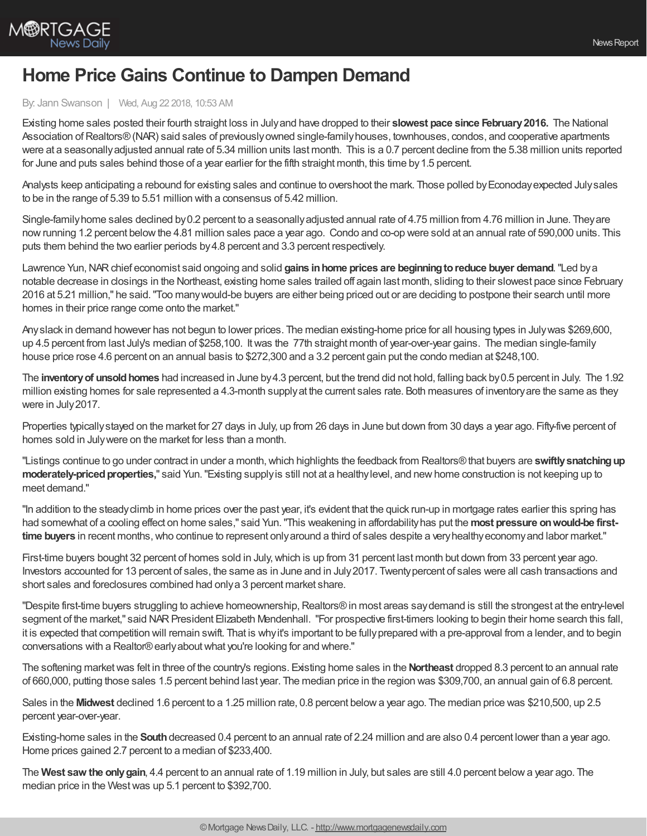

## **Home Price Gains Continue to Dampen Demand**

## By: Jann Swanson | Wed, Aug 22 2018, 10:53 AM

Existing home sales posted their fourth straight loss in Julyand have dropped to their **slowest pace since February2016.** The National Association of Realtors® (NAR) said sales of previously owned single-family houses, townhouses, condos, and cooperative apartments were at a seasonallyadjusted annual rate of 5.34 million units last month. This is a 0.7 percent decline from the 5.38 million units reported for June and puts sales behind those of a year earlier for the fifth straight month, this time by 1.5 percent.

Analysts keep anticipating a rebound for existing sales and continue to overshoot the mark. Those polled by Econoday expected July sales to be in the range of 5.39 to 5.51 million with a consensus of 5.42 million.

Single-familyhome sales declined by0.2 percent to a seasonallyadjusted annual rate of 4.75 million from 4.76 million in June. Theyare nowrunning 1.2 percent belowthe 4.81 million sales pace a year ago. Condo and co-op were sold at an annual rate of 590,000 units. This puts them behind the two earlier periods by4.8 percent and 3.3 percent respectively.

Lawrence Yun,NARchief economist said ongoing and solid **gains inhome prices are beginningtoreduce buyer demand**."Led bya notable decrease in closings in the Northeast, existing home sales trailed off again last month, sliding to their slowest pace since February 2016 at 5.21 million," he said."Too manywould-be buyers are either being priced out or are deciding to postpone their search until more homes in their price range come onto the market."

Anyslack in demand however has not begun to lower prices. The median existing-home price for all housing types in Julywas \$269,600, up 4.5 percent from last July's median of \$258,100. Itwas the 77th straight month of year-over-year gains. The median single-family house price rose 4.6 percent on an annual basis to \$272,300 and a 3.2 percent gain put the condo median at \$248,100.

The **inventoryof unsoldhomes** had increased in June by4.3 percent, but the trend did not hold, falling back by0.5 percent in July. The 1.92 million existing homes for sale represented a 4.3-month supplyat the current sales rate. Both measures of inventoryare the same as they were in July2017.

Properties typicallystayed on the market for 27 days in July, up from 26 days in June but down from 30 days a year ago. Fifty-five percent of homes sold in Julywere on the market for less than a month.

"Listings continue to go under contract in under a month, which highlights the feedback from Realtors®that buyers are swiftly snatching up moderately-priced properties," said Yun. "Existing supply is still not at a healthy level, and new home construction is not keeping up to meet demand."

"In addition to the steadyclimb in home prices over the past year, it's evident that the quick run-up in mortgage rates earlier this spring has had somewhat of a cooling effect on home sales," said Yun."This weakening in affordabilityhas put the **most pressure onwould-be firsttime buyers** in recent months,who continue to represent onlyaround a third of sales despite a veryhealthyeconomyand labor market."

First-time buyers bought 32 percent of homes sold in July, which is up from 31 percent last month but down from 33 percent year ago. Investors accounted for 13 percent of sales, the same as in June and in July2017. Twentypercent of sales were all cash transactions and short sales and foreclosures combined had onlya 3 percent market share.

"Despite first-time buyers struggling to achieve homeownership, Realtors®in most areas say demand is still the strongest at the entry-level segment of the market," said NAR President Elizabeth Mendenhall. "For prospective first-timers looking to begin their home search this fall, it is expected that competition will remain swift. That is why it's important to be fully prepared with a pre-approval from a lender, and to begin conversations with a Realtor®earlyaboutwhat you're looking for and where."

The softening marketwas felt in three of the country's regions. Existing home sales in the **Northeast** dropped 8.3 percent to an annual rate of 660,000, putting those sales 1.5 percent behind last year. The median price in the region was \$309,700, an annual gain of 6.8 percent.

Sales in the **Midwest** declined 1.6 percent to a 1.25 million rate, 0.8 percent belowa year ago. The median price was \$210,500, up 2.5 percent year-over-year.

Existing-home sales in the **South**decreased 0.4 percent to an annual rate of 2.24 million and are also 0.4 percent lower than a year ago. Home prices gained 2.7 percent to a median of \$233,400.

The **West saw the onlygain**, 4.4 percent to an annual rate of 1.19 million in July, but sales are still 4.0 percent belowa year ago. The median price in the Westwas up 5.1 percent to \$392,700.